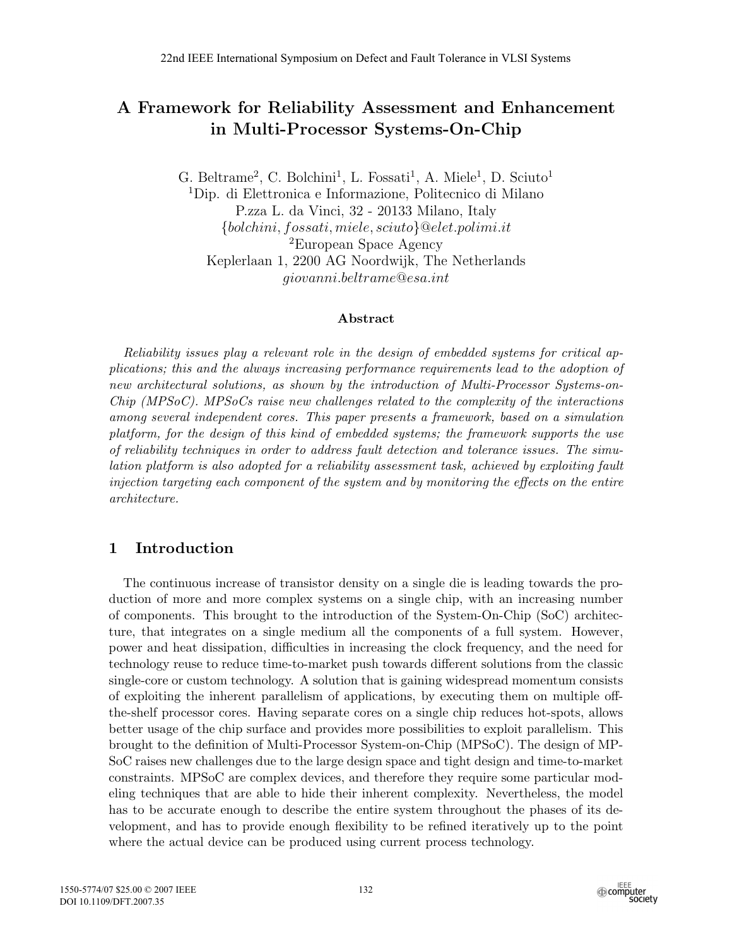# A Framework for Reliability Assessment and Enhancement in Multi-Processor Systems-On-Chip

G. Beltrame<sup>2</sup>, C. Bolchini<sup>1</sup>, L. Fossati<sup>1</sup>, A. Miele<sup>1</sup>, D. Sciuto<sup>1</sup> <sup>1</sup>Dip. di Elettronica e Informazione, Politecnico di Milano P.zza L. da Vinci, 32 - 20133 Milano, Italy {bolchini, fossati, miele, sciuto}@elet.polimi.it <sup>2</sup>European Space Agency Keplerlaan 1, 2200 AG Noordwijk, The Netherlands giovanni.beltrame@esa.int

### Abstract

Reliability issues play a relevant role in the design of embedded systems for critical applications; this and the always increasing performance requirements lead to the adoption of new architectural solutions, as shown by the introduction of Multi-Processor Systems-on-Chip (MPSoC). MPSoCs raise new challenges related to the complexity of the interactions among several independent cores. This paper presents a framework, based on a simulation platform, for the design of this kind of embedded systems; the framework supports the use of reliability techniques in order to address fault detection and tolerance issues. The simulation platform is also adopted for a reliability assessment task, achieved by exploiting fault injection targeting each component of the system and by monitoring the effects on the entire architecture.

# 1 Introduction

The continuous increase of transistor density on a single die is leading towards the production of more and more complex systems on a single chip, with an increasing number of components. This brought to the introduction of the System-On-Chip (SoC) architecture, that integrates on a single medium all the components of a full system. However, power and heat dissipation, difficulties in increasing the clock frequency, and the need for technology reuse to reduce time-to-market push towards different solutions from the classic single-core or custom technology. A solution that is gaining widespread momentum consists of exploiting the inherent parallelism of applications, by executing them on multiple offthe-shelf processor cores. Having separate cores on a single chip reduces hot-spots, allows better usage of the chip surface and provides more possibilities to exploit parallelism. This brought to the definition of Multi-Processor System-on-Chip (MPSoC). The design of MP-SoC raises new challenges due to the large design space and tight design and time-to-market constraints. MPSoC are complex devices, and therefore they require some particular modeling techniques that are able to hide their inherent complexity. Nevertheless, the model has to be accurate enough to describe the entire system throughout the phases of its development, and has to provide enough flexibility to be refined iteratively up to the point where the actual device can be produced using current process technology.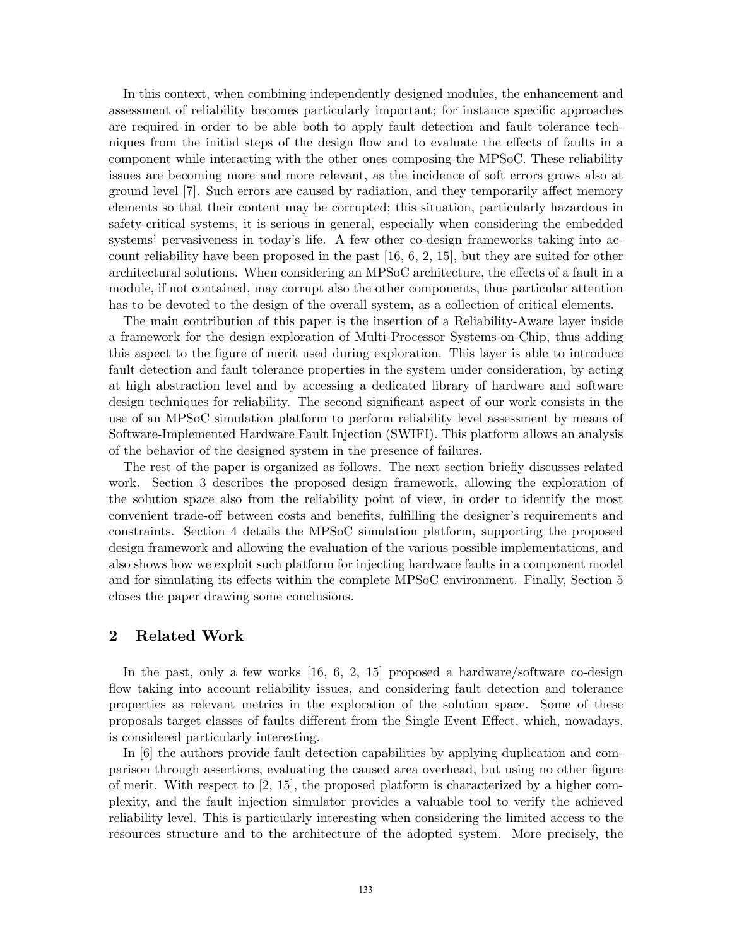In this context, when combining independently designed modules, the enhancement and assessment of reliability becomes particularly important; for instance specific approaches are required in order to be able both to apply fault detection and fault tolerance techniques from the initial steps of the design flow and to evaluate the effects of faults in a component while interacting with the other ones composing the MPSoC. These reliability issues are becoming more and more relevant, as the incidence of soft errors grows also at ground level [7]. Such errors are caused by radiation, and they temporarily affect memory elements so that their content may be corrupted; this situation, particularly hazardous in safety-critical systems, it is serious in general, especially when considering the embedded systems' pervasiveness in today's life. A few other co-design frameworks taking into account reliability have been proposed in the past [16, 6, 2, 15], but they are suited for other architectural solutions. When considering an MPSoC architecture, the effects of a fault in a module, if not contained, may corrupt also the other components, thus particular attention has to be devoted to the design of the overall system, as a collection of critical elements.

The main contribution of this paper is the insertion of a Reliability-Aware layer inside a framework for the design exploration of Multi-Processor Systems-on-Chip, thus adding this aspect to the figure of merit used during exploration. This layer is able to introduce fault detection and fault tolerance properties in the system under consideration, by acting at high abstraction level and by accessing a dedicated library of hardware and software design techniques for reliability. The second significant aspect of our work consists in the use of an MPSoC simulation platform to perform reliability level assessment by means of Software-Implemented Hardware Fault Injection (SWIFI). This platform allows an analysis of the behavior of the designed system in the presence of failures.

The rest of the paper is organized as follows. The next section briefly discusses related work. Section 3 describes the proposed design framework, allowing the exploration of the solution space also from the reliability point of view, in order to identify the most convenient trade-off between costs and benefits, fulfilling the designer's requirements and constraints. Section 4 details the MPSoC simulation platform, supporting the proposed design framework and allowing the evaluation of the various possible implementations, and also shows how we exploit such platform for injecting hardware faults in a component model and for simulating its effects within the complete MPSoC environment. Finally, Section 5 closes the paper drawing some conclusions.

#### 2 Related Work

In the past, only a few works [16, 6, 2, 15] proposed a hardware/software co-design flow taking into account reliability issues, and considering fault detection and tolerance properties as relevant metrics in the exploration of the solution space. Some of these proposals target classes of faults different from the Single Event Effect, which, nowadays, is considered particularly interesting.

In [6] the authors provide fault detection capabilities by applying duplication and comparison through assertions, evaluating the caused area overhead, but using no other figure of merit. With respect to [2, 15], the proposed platform is characterized by a higher complexity, and the fault injection simulator provides a valuable tool to verify the achieved reliability level. This is particularly interesting when considering the limited access to the resources structure and to the architecture of the adopted system. More precisely, the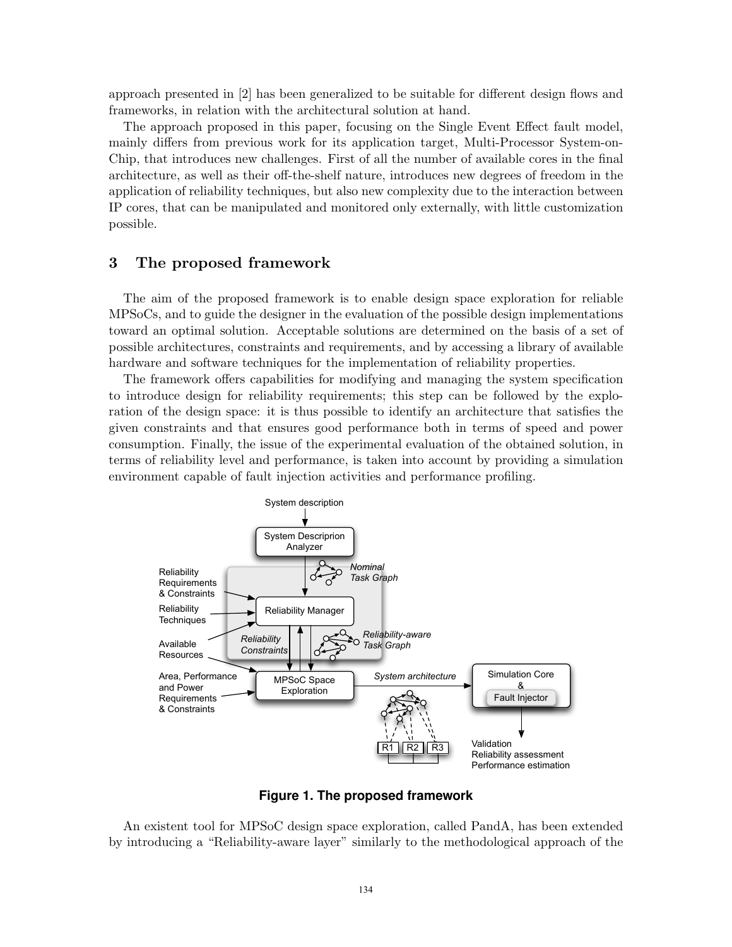approach presented in [2] has been generalized to be suitable for different design flows and frameworks, in relation with the architectural solution at hand.

The approach proposed in this paper, focusing on the Single Event Effect fault model, mainly differs from previous work for its application target, Multi-Processor System-on-Chip, that introduces new challenges. First of all the number of available cores in the final architecture, as well as their off-the-shelf nature, introduces new degrees of freedom in the application of reliability techniques, but also new complexity due to the interaction between IP cores, that can be manipulated and monitored only externally, with little customization possible.

#### 3 The proposed framework

The aim of the proposed framework is to enable design space exploration for reliable MPSoCs, and to guide the designer in the evaluation of the possible design implementations toward an optimal solution. Acceptable solutions are determined on the basis of a set of possible architectures, constraints and requirements, and by accessing a library of available hardware and software techniques for the implementation of reliability properties.

The framework offers capabilities for modifying and managing the system specification to introduce design for reliability requirements; this step can be followed by the exploration of the design space: it is thus possible to identify an architecture that satisfies the given constraints and that ensures good performance both in terms of speed and power consumption. Finally, the issue of the experimental evaluation of the obtained solution, in terms of reliability level and performance, is taken into account by providing a simulation environment capable of fault injection activities and performance profiling.



**Figure 1. The proposed framework**

An existent tool for MPSoC design space exploration, called PandA, has been extended by introducing a "Reliability-aware layer" similarly to the methodological approach of the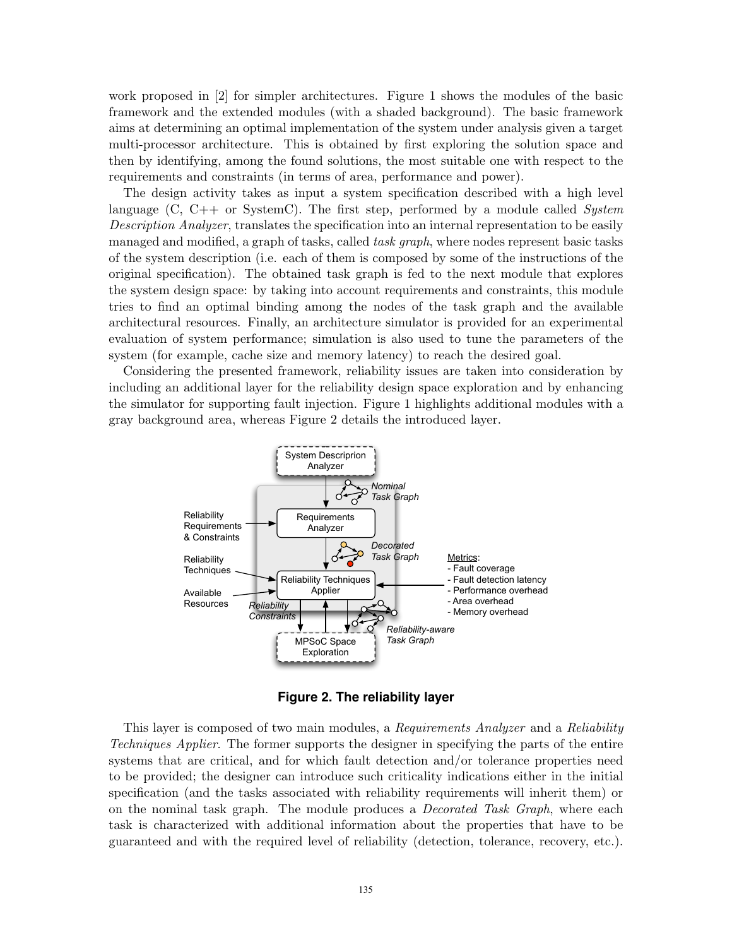work proposed in [2] for simpler architectures. Figure 1 shows the modules of the basic framework and the extended modules (with a shaded background). The basic framework aims at determining an optimal implementation of the system under analysis given a target multi-processor architecture. This is obtained by first exploring the solution space and then by identifying, among the found solutions, the most suitable one with respect to the requirements and constraints (in terms of area, performance and power).

The design activity takes as input a system specification described with a high level language (C,  $C_{+}$  or SystemC). The first step, performed by a module called System Description Analyzer, translates the specification into an internal representation to be easily managed and modified, a graph of tasks, called task graph, where nodes represent basic tasks of the system description (i.e. each of them is composed by some of the instructions of the original specification). The obtained task graph is fed to the next module that explores the system design space: by taking into account requirements and constraints, this module tries to find an optimal binding among the nodes of the task graph and the available architectural resources. Finally, an architecture simulator is provided for an experimental evaluation of system performance; simulation is also used to tune the parameters of the system (for example, cache size and memory latency) to reach the desired goal.

Considering the presented framework, reliability issues are taken into consideration by including an additional layer for the reliability design space exploration and by enhancing the simulator for supporting fault injection. Figure 1 highlights additional modules with a gray background area, whereas Figure 2 details the introduced layer.



**Figure 2. The reliability layer**

This layer is composed of two main modules, a Requirements Analyzer and a Reliability Techniques Applier. The former supports the designer in specifying the parts of the entire systems that are critical, and for which fault detection and/or tolerance properties need to be provided; the designer can introduce such criticality indications either in the initial specification (and the tasks associated with reliability requirements will inherit them) or on the nominal task graph. The module produces a Decorated Task Graph, where each task is characterized with additional information about the properties that have to be guaranteed and with the required level of reliability (detection, tolerance, recovery, etc.).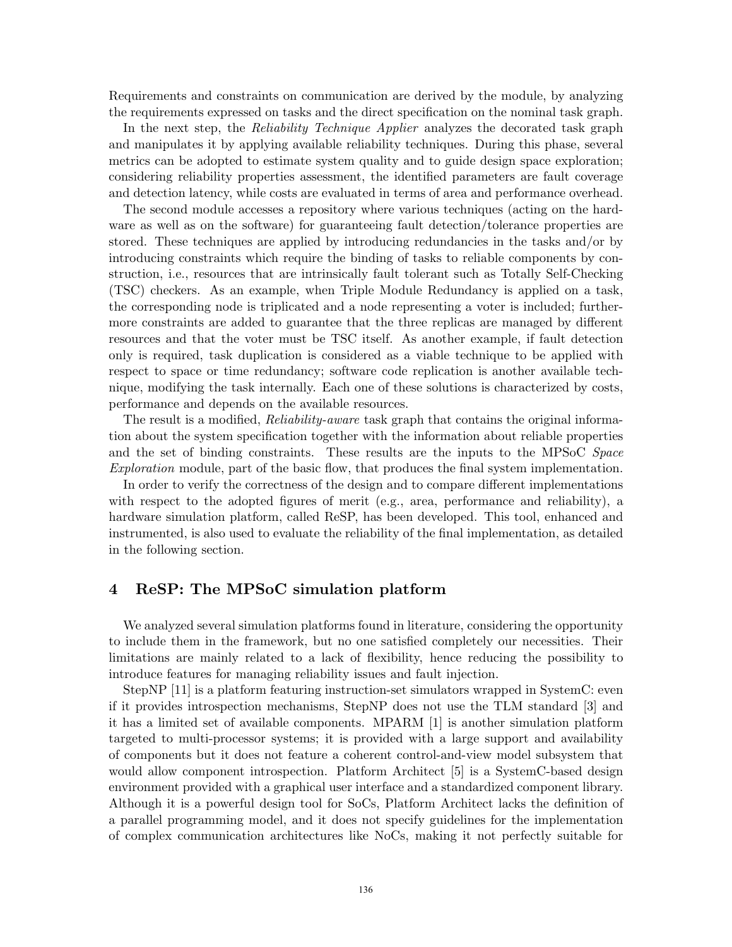Requirements and constraints on communication are derived by the module, by analyzing the requirements expressed on tasks and the direct specification on the nominal task graph.

In the next step, the *Reliability Technique Applier* analyzes the decorated task graph and manipulates it by applying available reliability techniques. During this phase, several metrics can be adopted to estimate system quality and to guide design space exploration; considering reliability properties assessment, the identified parameters are fault coverage and detection latency, while costs are evaluated in terms of area and performance overhead.

The second module accesses a repository where various techniques (acting on the hardware as well as on the software) for guaranteeing fault detection/tolerance properties are stored. These techniques are applied by introducing redundancies in the tasks and/or by introducing constraints which require the binding of tasks to reliable components by construction, i.e., resources that are intrinsically fault tolerant such as Totally Self-Checking (TSC) checkers. As an example, when Triple Module Redundancy is applied on a task, the corresponding node is triplicated and a node representing a voter is included; furthermore constraints are added to guarantee that the three replicas are managed by different resources and that the voter must be TSC itself. As another example, if fault detection only is required, task duplication is considered as a viable technique to be applied with respect to space or time redundancy; software code replication is another available technique, modifying the task internally. Each one of these solutions is characterized by costs, performance and depends on the available resources.

The result is a modified, *Reliability-aware* task graph that contains the original information about the system specification together with the information about reliable properties and the set of binding constraints. These results are the inputs to the MPSoC Space Exploration module, part of the basic flow, that produces the final system implementation.

In order to verify the correctness of the design and to compare different implementations with respect to the adopted figures of merit (e.g., area, performance and reliability), a hardware simulation platform, called ReSP, has been developed. This tool, enhanced and instrumented, is also used to evaluate the reliability of the final implementation, as detailed in the following section.

#### 4 ReSP: The MPSoC simulation platform

We analyzed several simulation platforms found in literature, considering the opportunity to include them in the framework, but no one satisfied completely our necessities. Their limitations are mainly related to a lack of flexibility, hence reducing the possibility to introduce features for managing reliability issues and fault injection.

StepNP [11] is a platform featuring instruction-set simulators wrapped in SystemC: even if it provides introspection mechanisms, StepNP does not use the TLM standard [3] and it has a limited set of available components. MPARM [1] is another simulation platform targeted to multi-processor systems; it is provided with a large support and availability of components but it does not feature a coherent control-and-view model subsystem that would allow component introspection. Platform Architect [5] is a SystemC-based design environment provided with a graphical user interface and a standardized component library. Although it is a powerful design tool for SoCs, Platform Architect lacks the definition of a parallel programming model, and it does not specify guidelines for the implementation of complex communication architectures like NoCs, making it not perfectly suitable for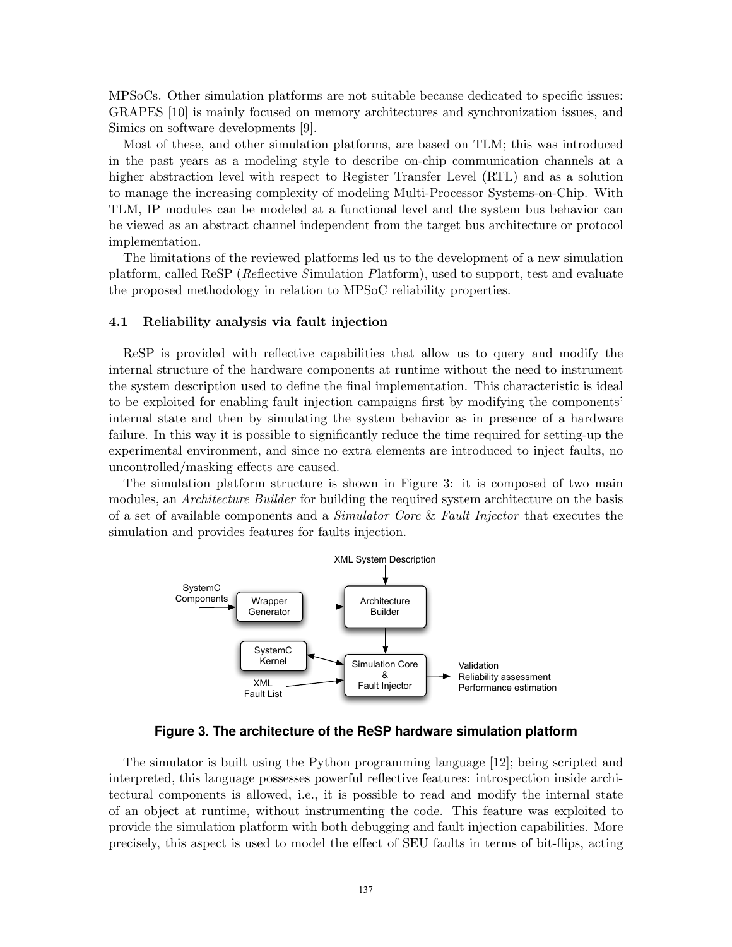MPSoCs. Other simulation platforms are not suitable because dedicated to specific issues: GRAPES [10] is mainly focused on memory architectures and synchronization issues, and Simics on software developments [9].

Most of these, and other simulation platforms, are based on TLM; this was introduced in the past years as a modeling style to describe on-chip communication channels at a higher abstraction level with respect to Register Transfer Level (RTL) and as a solution to manage the increasing complexity of modeling Multi-Processor Systems-on-Chip. With TLM, IP modules can be modeled at a functional level and the system bus behavior can be viewed as an abstract channel independent from the target bus architecture or protocol implementation.

The limitations of the reviewed platforms led us to the development of a new simulation platform, called ReSP (Reflective Simulation Platform), used to support, test and evaluate the proposed methodology in relation to MPSoC reliability properties.

#### 4.1 Reliability analysis via fault injection

ReSP is provided with reflective capabilities that allow us to query and modify the internal structure of the hardware components at runtime without the need to instrument the system description used to define the final implementation. This characteristic is ideal to be exploited for enabling fault injection campaigns first by modifying the components' internal state and then by simulating the system behavior as in presence of a hardware failure. In this way it is possible to significantly reduce the time required for setting-up the experimental environment, and since no extra elements are introduced to inject faults, no uncontrolled/masking effects are caused.

The simulation platform structure is shown in Figure 3: it is composed of two main modules, an *Architecture Builder* for building the required system architecture on the basis of a set of available components and a Simulator Core & Fault Injector that executes the simulation and provides features for faults injection.



**Figure 3. The architecture of the ReSP hardware simulation platform**

The simulator is built using the Python programming language [12]; being scripted and interpreted, this language possesses powerful reflective features: introspection inside architectural components is allowed, i.e., it is possible to read and modify the internal state of an object at runtime, without instrumenting the code. This feature was exploited to provide the simulation platform with both debugging and fault injection capabilities. More precisely, this aspect is used to model the effect of SEU faults in terms of bit-flips, acting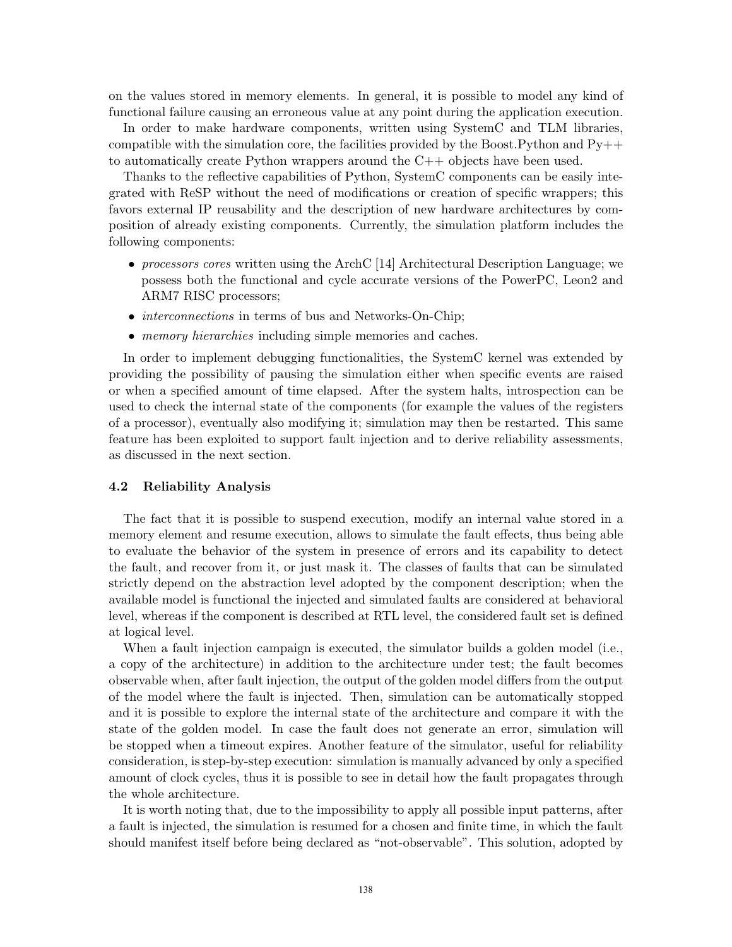on the values stored in memory elements. In general, it is possible to model any kind of functional failure causing an erroneous value at any point during the application execution.

In order to make hardware components, written using SystemC and TLM libraries, compatible with the simulation core, the facilities provided by the Boost. Python and  $Py++$ to automatically create Python wrappers around the C++ objects have been used.

Thanks to the reflective capabilities of Python, SystemC components can be easily integrated with ReSP without the need of modifications or creation of specific wrappers; this favors external IP reusability and the description of new hardware architectures by composition of already existing components. Currently, the simulation platform includes the following components:

- processors cores written using the ArchC [14] Architectural Description Language; we possess both the functional and cycle accurate versions of the PowerPC, Leon2 and ARM7 RISC processors;
- *interconnections* in terms of bus and Networks-On-Chip;
- *memory hierarchies* including simple memories and caches.

In order to implement debugging functionalities, the SystemC kernel was extended by providing the possibility of pausing the simulation either when specific events are raised or when a specified amount of time elapsed. After the system halts, introspection can be used to check the internal state of the components (for example the values of the registers of a processor), eventually also modifying it; simulation may then be restarted. This same feature has been exploited to support fault injection and to derive reliability assessments, as discussed in the next section.

#### 4.2 Reliability Analysis

The fact that it is possible to suspend execution, modify an internal value stored in a memory element and resume execution, allows to simulate the fault effects, thus being able to evaluate the behavior of the system in presence of errors and its capability to detect the fault, and recover from it, or just mask it. The classes of faults that can be simulated strictly depend on the abstraction level adopted by the component description; when the available model is functional the injected and simulated faults are considered at behavioral level, whereas if the component is described at RTL level, the considered fault set is defined at logical level.

When a fault injection campaign is executed, the simulator builds a golden model (i.e., a copy of the architecture) in addition to the architecture under test; the fault becomes observable when, after fault injection, the output of the golden model differs from the output of the model where the fault is injected. Then, simulation can be automatically stopped and it is possible to explore the internal state of the architecture and compare it with the state of the golden model. In case the fault does not generate an error, simulation will be stopped when a timeout expires. Another feature of the simulator, useful for reliability consideration, is step-by-step execution: simulation is manually advanced by only a specified amount of clock cycles, thus it is possible to see in detail how the fault propagates through the whole architecture.

It is worth noting that, due to the impossibility to apply all possible input patterns, after a fault is injected, the simulation is resumed for a chosen and finite time, in which the fault should manifest itself before being declared as "not-observable". This solution, adopted by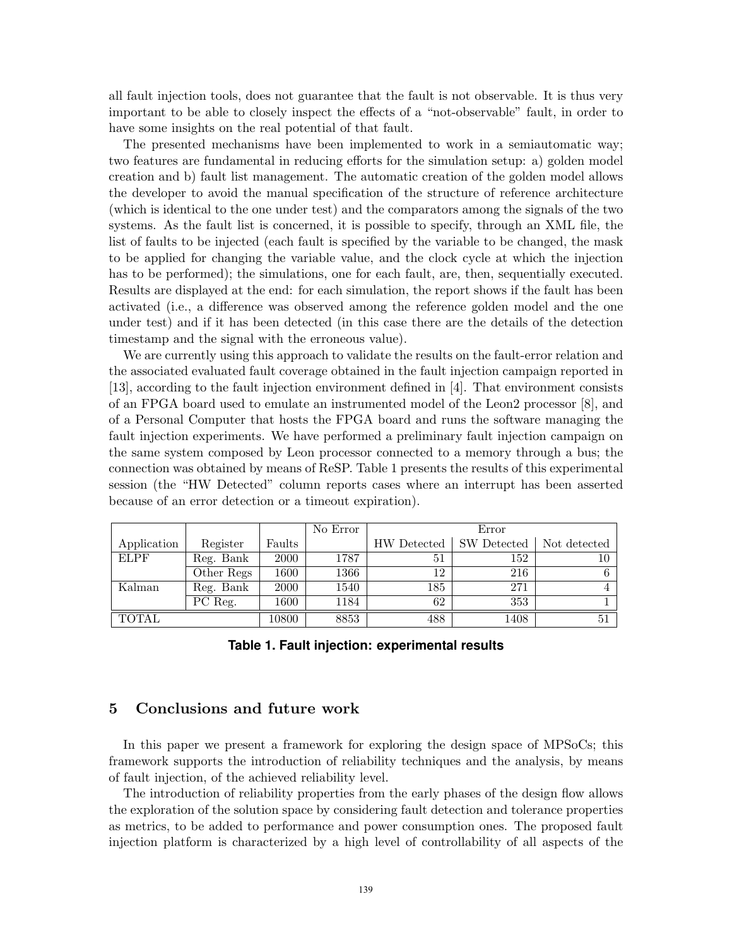all fault injection tools, does not guarantee that the fault is not observable. It is thus very important to be able to closely inspect the effects of a "not-observable" fault, in order to have some insights on the real potential of that fault.

The presented mechanisms have been implemented to work in a semiautomatic way; two features are fundamental in reducing efforts for the simulation setup: a) golden model creation and b) fault list management. The automatic creation of the golden model allows the developer to avoid the manual specification of the structure of reference architecture (which is identical to the one under test) and the comparators among the signals of the two systems. As the fault list is concerned, it is possible to specify, through an XML file, the list of faults to be injected (each fault is specified by the variable to be changed, the mask to be applied for changing the variable value, and the clock cycle at which the injection has to be performed); the simulations, one for each fault, are, then, sequentially executed. Results are displayed at the end: for each simulation, the report shows if the fault has been activated (i.e., a difference was observed among the reference golden model and the one under test) and if it has been detected (in this case there are the details of the detection timestamp and the signal with the erroneous value).

We are currently using this approach to validate the results on the fault-error relation and the associated evaluated fault coverage obtained in the fault injection campaign reported in [13], according to the fault injection environment defined in [4]. That environment consists of an FPGA board used to emulate an instrumented model of the Leon2 processor [8], and of a Personal Computer that hosts the FPGA board and runs the software managing the fault injection experiments. We have performed a preliminary fault injection campaign on the same system composed by Leon processor connected to a memory through a bus; the connection was obtained by means of ReSP. Table 1 presents the results of this experimental session (the "HW Detected" column reports cases where an interrupt has been asserted because of an error detection or a timeout expiration).

|              |            |          | No Error | Error              |             |              |
|--------------|------------|----------|----------|--------------------|-------------|--------------|
| Application  | Register   | Faults   |          | <b>HW</b> Detected | SW Detected | Not detected |
| <b>ELPF</b>  | Reg. Bank  | 2000     | 1787     | 51                 | 152         | 10           |
|              | Other Regs | $1600\,$ | 1366     | 12                 | 216         |              |
| Kalman       | Reg. Bank  | 2000     | 1540     | 185                | 271         |              |
|              | PC Reg.    | 1600     | 1184     | 62                 | 353         |              |
| <b>TOTAL</b> |            | 10800    | 8853     | 488                | 1408        | 51           |

**Table 1. Fault injection: experimental results**

## 5 Conclusions and future work

In this paper we present a framework for exploring the design space of MPSoCs; this framework supports the introduction of reliability techniques and the analysis, by means of fault injection, of the achieved reliability level.

The introduction of reliability properties from the early phases of the design flow allows the exploration of the solution space by considering fault detection and tolerance properties as metrics, to be added to performance and power consumption ones. The proposed fault injection platform is characterized by a high level of controllability of all aspects of the